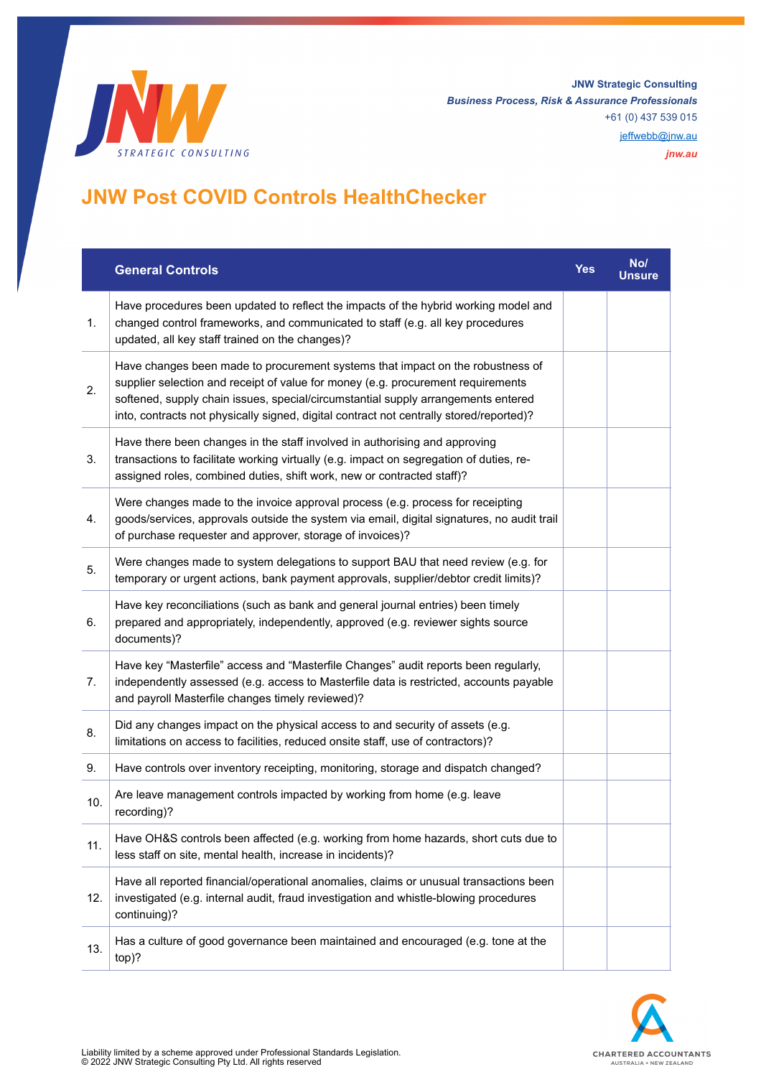

**JNW Strategic Consulting** *Business Process, Risk & Assurance Professionals* +61 (0) 437 539 015

[jeffwebb@jnw.au](mailto:jeffwebb@jnw.au)

*jnw.au*

## **JNW Post COVID Controls HealthChecker**

|     | <b>General Controls</b>                                                                                                                                                                                                                                                                                                                            | Yes | No/<br>Unsure |
|-----|----------------------------------------------------------------------------------------------------------------------------------------------------------------------------------------------------------------------------------------------------------------------------------------------------------------------------------------------------|-----|---------------|
| 1.  | Have procedures been updated to reflect the impacts of the hybrid working model and<br>changed control frameworks, and communicated to staff (e.g. all key procedures<br>updated, all key staff trained on the changes)?                                                                                                                           |     |               |
| 2.  | Have changes been made to procurement systems that impact on the robustness of<br>supplier selection and receipt of value for money (e.g. procurement requirements<br>softened, supply chain issues, special/circumstantial supply arrangements entered<br>into, contracts not physically signed, digital contract not centrally stored/reported)? |     |               |
| 3.  | Have there been changes in the staff involved in authorising and approving<br>transactions to facilitate working virtually (e.g. impact on segregation of duties, re-<br>assigned roles, combined duties, shift work, new or contracted staff)?                                                                                                    |     |               |
| 4.  | Were changes made to the invoice approval process (e.g. process for receipting<br>goods/services, approvals outside the system via email, digital signatures, no audit trail<br>of purchase requester and approver, storage of invoices)?                                                                                                          |     |               |
| 5.  | Were changes made to system delegations to support BAU that need review (e.g. for<br>temporary or urgent actions, bank payment approvals, supplier/debtor credit limits)?                                                                                                                                                                          |     |               |
| 6.  | Have key reconciliations (such as bank and general journal entries) been timely<br>prepared and appropriately, independently, approved (e.g. reviewer sights source<br>documents)?                                                                                                                                                                 |     |               |
| 7.  | Have key "Masterfile" access and "Masterfile Changes" audit reports been regularly,<br>independently assessed (e.g. access to Masterfile data is restricted, accounts payable<br>and payroll Masterfile changes timely reviewed)?                                                                                                                  |     |               |
| 8.  | Did any changes impact on the physical access to and security of assets (e.g.<br>limitations on access to facilities, reduced onsite staff, use of contractors)?                                                                                                                                                                                   |     |               |
| 9.  | Have controls over inventory receipting, monitoring, storage and dispatch changed?                                                                                                                                                                                                                                                                 |     |               |
| 10. | Are leave management controls impacted by working from home (e.g. leave<br>recording)?                                                                                                                                                                                                                                                             |     |               |
| 11. | Have OH&S controls been affected (e.g. working from home hazards, short cuts due to<br>less staff on site, mental health, increase in incidents)?                                                                                                                                                                                                  |     |               |
| 12. | Have all reported financial/operational anomalies, claims or unusual transactions been<br>investigated (e.g. internal audit, fraud investigation and whistle-blowing procedures<br>continuing)?                                                                                                                                                    |     |               |
| 13. | Has a culture of good governance been maintained and encouraged (e.g. tone at the<br>top)?                                                                                                                                                                                                                                                         |     |               |